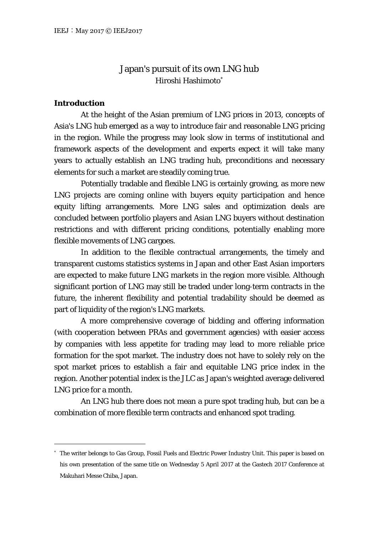# Japan's pursuit of its own LNG hub Hiroshi Hashimoto

# **Introduction**

At the height of the Asian premium of LNG prices in 2013, concepts of Asia's LNG hub emerged as a way to introduce fair and reasonable LNG pricing in the region. While the progress may look slow in terms of institutional and framework aspects of the development and experts expect it will take many years to actually establish an LNG trading hub, preconditions and necessary elements for such a market are steadily coming true.

Potentially tradable and flexible LNG is certainly growing, as more new LNG projects are coming online with buyers equity participation and hence equity lifting arrangements. More LNG sales and optimization deals are concluded between portfolio players and Asian LNG buyers without destination restrictions and with different pricing conditions, potentially enabling more flexible movements of LNG cargoes.

In addition to the flexible contractual arrangements, the timely and transparent customs statistics systems in Japan and other East Asian importers are expected to make future LNG markets in the region more visible. Although significant portion of LNG may still be traded under long-term contracts in the future, the inherent flexibility and potential tradability should be deemed as part of liquidity of the region's LNG markets.

A more comprehensive coverage of bidding and offering information (with cooperation between PRAs and government agencies) with easier access by companies with less appetite for trading may lead to more reliable price formation for the spot market. The industry does not have to solely rely on the spot market prices to establish a fair and equitable LNG price index in the region. Another potential index is the JLC as Japan's weighted average delivered LNG price for a month.

An LNG hub there does not mean a pure spot trading hub, but can be a combination of more flexible term contracts and enhanced spot trading.

<sup>\*</sup>  The writer belongs to Gas Group, Fossil Fuels and Electric Power Industry Unit. This paper is based on his own presentation of the same title on Wednesday 5 April 2017 at the Gastech 2017 Conference at Makuhari Messe Chiba, Japan.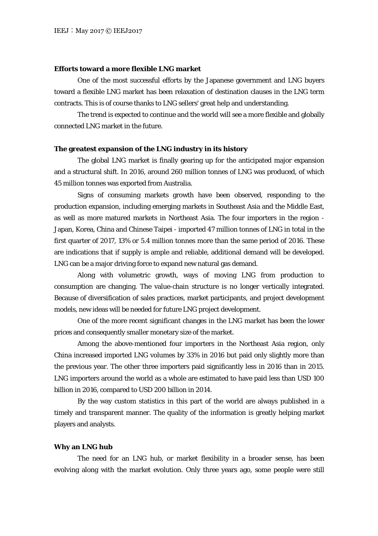# **Efforts toward a more flexible LNG market**

One of the most successful efforts by the Japanese government and LNG buyers toward a flexible LNG market has been relaxation of destination clauses in the LNG term contracts. This is of course thanks to LNG sellers' great help and understanding.

The trend is expected to continue and the world will see a more flexible and globally connected LNG market in the future.

#### **The greatest expansion of the LNG industry in its history**

The global LNG market is finally gearing up for the anticipated major expansion and a structural shift. In 2016, around 260 million tonnes of LNG was produced, of which 45 million tonnes was exported from Australia.

Signs of consuming markets growth have been observed, responding to the production expansion, including emerging markets in Southeast Asia and the Middle East, as well as more matured markets in Northeast Asia. The four importers in the region - Japan, Korea, China and Chinese Taipei - imported 47 million tonnes of LNG in total in the first quarter of 2017, 13% or 5.4 million tonnes more than the same period of 2016. These are indications that if supply is ample and reliable, additional demand will be developed. LNG can be a major driving force to expand new natural gas demand.

Along with volumetric growth, ways of moving LNG from production to consumption are changing. The value-chain structure is no longer vertically integrated. Because of diversification of sales practices, market participants, and project development models, new ideas will be needed for future LNG project development.

One of the more recent significant changes in the LNG market has been the lower prices and consequently smaller monetary size of the market.

Among the above-mentioned four importers in the Northeast Asia region, only China increased imported LNG volumes by 33% in 2016 but paid only slightly more than the previous year. The other three importers paid significantly less in 2016 than in 2015. LNG importers around the world as a whole are estimated to have paid less than USD 100 billion in 2016, compared to USD 200 billion in 2014.

By the way custom statistics in this part of the world are always published in a timely and transparent manner. The quality of the information is greatly helping market players and analysts.

#### **Why an LNG hub**

The need for an LNG hub, or market flexibility in a broader sense, has been evolving along with the market evolution. Only three years ago, some people were still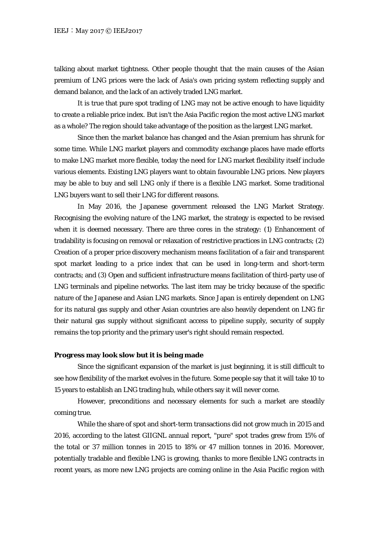talking about market tightness. Other people thought that the main causes of the Asian premium of LNG prices were the lack of Asia's own pricing system reflecting supply and demand balance, and the lack of an actively traded LNG market.

It is true that pure spot trading of LNG may not be active enough to have liquidity to create a reliable price index. But isn't the Asia Pacific region the most active LNG market as a whole? The region should take advantage of the position as the largest LNG market.

Since then the market balance has changed and the Asian premium has shrunk for some time. While LNG market players and commodity exchange places have made efforts to make LNG market more flexible, today the need for LNG market flexibility itself include various elements. Existing LNG players want to obtain favourable LNG prices. New players may be able to buy and sell LNG only if there is a flexible LNG market. Some traditional LNG buyers want to sell their LNG for different reasons.

In May 2016, the Japanese government released the LNG Market Strategy. Recognising the evolving nature of the LNG market, the strategy is expected to be revised when it is deemed necessary. There are three cores in the strategy: (1) Enhancement of tradability is focusing on removal or relaxation of restrictive practices in LNG contracts; (2) Creation of a proper price discovery mechanism means facilitation of a fair and transparent spot market leading to a price index that can be used in long-term and short-term contracts; and (3) Open and sufficient infrastructure means facilitation of third-party use of LNG terminals and pipeline networks. The last item may be tricky because of the specific nature of the Japanese and Asian LNG markets. Since Japan is entirely dependent on LNG for its natural gas supply and other Asian countries are also heavily dependent on LNG fir their natural gas supply without significant access to pipeline supply, security of supply remains the top priority and the primary user's right should remain respected.

### **Progress may look slow but it is being made**

Since the significant expansion of the market is just beginning, it is still difficult to see how flexibility of the market evolves in the future. Some people say that it will take 10 to 15 years to establish an LNG trading hub, while others say it will never come.

However, preconditions and necessary elements for such a market are steadily coming true.

While the share of spot and short-term transactions did not grow much in 2015 and 2016, according to the latest GIIGNL annual report, "pure" spot trades grew from 15% of the total or 37 million tonnes in 2015 to 18% or 47 million tonnes in 2016. Moreover, potentially tradable and flexible LNG is growing, thanks to more flexible LNG contracts in recent years, as more new LNG projects are coming online in the Asia Pacific region with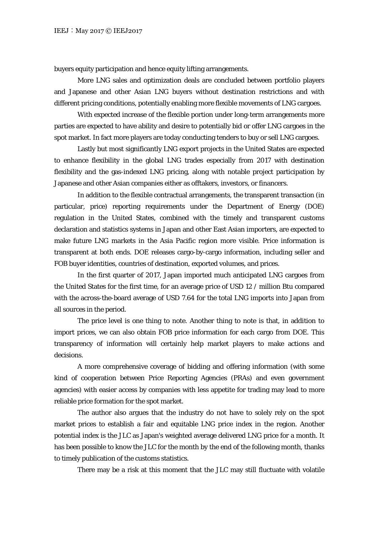buyers equity participation and hence equity lifting arrangements.

More LNG sales and optimization deals are concluded between portfolio players and Japanese and other Asian LNG buyers without destination restrictions and with different pricing conditions, potentially enabling more flexible movements of LNG cargoes.

With expected increase of the flexible portion under long-term arrangements more parties are expected to have ability and desire to potentially bid or offer LNG cargoes in the spot market. In fact more players are today conducting tenders to buy or sell LNG cargoes.

Lastly but most significantly LNG export projects in the United States are expected to enhance flexibility in the global LNG trades especially from 2017 with destination flexibility and the gas-indexed LNG pricing, along with notable project participation by Japanese and other Asian companies either as offtakers, investors, or financers.

In addition to the flexible contractual arrangements, the transparent transaction (in particular, price) reporting requirements under the Department of Energy (DOE) regulation in the United States, combined with the timely and transparent customs declaration and statistics systems in Japan and other East Asian importers, are expected to make future LNG markets in the Asia Pacific region more visible. Price information is transparent at both ends. DOE releases cargo-by-cargo information, including seller and FOB buyer identities, countries of destination, exported volumes, and prices.

In the first quarter of 2017, Japan imported much anticipated LNG cargoes from the United States for the first time, for an average price of USD 12 / million Btu compared with the across-the-board average of USD 7.64 for the total LNG imports into Japan from all sources in the period.

The price level is one thing to note. Another thing to note is that, in addition to import prices, we can also obtain FOB price information for each cargo from DOE. This transparency of information will certainly help market players to make actions and decisions.

A more comprehensive coverage of bidding and offering information (with some kind of cooperation between Price Reporting Agencies (PRAs) and even government agencies) with easier access by companies with less appetite for trading may lead to more reliable price formation for the spot market.

The author also argues that the industry do not have to solely rely on the spot market prices to establish a fair and equitable LNG price index in the region. Another potential index is the JLC as Japan's weighted average delivered LNG price for a month. It has been possible to know the JLC for the month by the end of the following month, thanks to timely publication of the customs statistics.

There may be a risk at this moment that the JLC may still fluctuate with volatile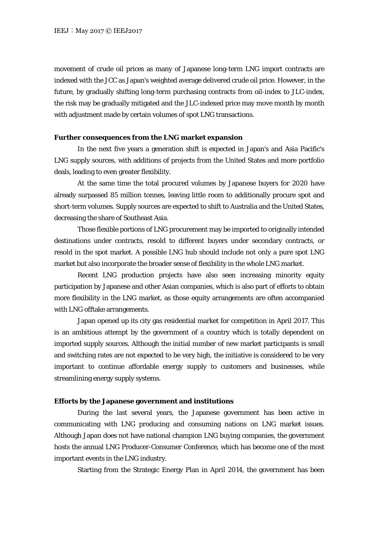movement of crude oil prices as many of Japanese long-term LNG import contracts are indexed with the JCC as Japan's weighted average delivered crude oil price. However, in the future, by gradually shifting long-term purchasing contracts from oil-index to JLC-index, the risk may be gradually mitigated and the JLC-indexed price may move month by month with adjustment made by certain volumes of spot LNG transactions.

# **Further consequences from the LNG market expansion**

In the next five years a generation shift is expected in Japan's and Asia Pacific's LNG supply sources, with additions of projects from the United States and more portfolio deals, leading to even greater flexibility.

At the same time the total procured volumes by Japanese buyers for 2020 have already surpassed 85 million tonnes, leaving little room to additionally procure spot and short-term volumes. Supply sources are expected to shift to Australia and the United States, decreasing the share of Southeast Asia.

Those flexible portions of LNG procurement may be imported to originally intended destinations under contracts, resold to different buyers under secondary contracts, or resold in the spot market. A possible LNG hub should include not only a pure spot LNG market but also incorporate the broader sense of flexibility in the whole LNG market.

Recent LNG production projects have also seen increasing minority equity participation by Japanese and other Asian companies, which is also part of efforts to obtain more flexibility in the LNG market, as those equity arrangements are often accompanied with LNG offtake arrangements.

Japan opened up its city gas residential market for competition in April 2017. This is an ambitious attempt by the government of a country which is totally dependent on imported supply sources. Although the initial number of new market participants is small and switching rates are not expected to be very high, the initiative is considered to be very important to continue affordable energy supply to customers and businesses, while streamlining energy supply systems.

# **Efforts by the Japanese government and institutions**

During the last several years, the Japanese government has been active in communicating with LNG producing and consuming nations on LNG market issues. Although Japan does not have national champion LNG buying companies, the government hosts the annual LNG Producer-Consumer Conference, which has become one of the most important events in the LNG industry.

Starting from the Strategic Energy Plan in April 2014, the government has been